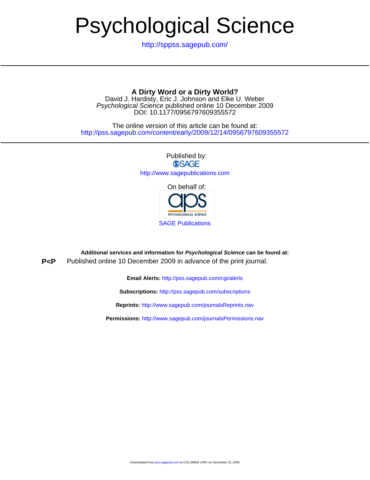## Psychological Science

<http://sppss.sagepub.com/>

DOI: 10.1177/0956797609355572 Psychological Science published online 10 December 2009 David J. Hardisty, Eric J. Johnson and Elke U. Weber **A Dirty Word or a Dirty World?**

<http://pss.sagepub.com/content/early/2009/12/14/0956797609355572> The online version of this article can be found at:



[SAGE Publications](http://www.psychologicalscience.org/)

**Additional services and information for Psychological Science can be found at: P<P** Published online 10 December 2009 in advance of the print journal.

**Email Alerts:** <http://pss.sagepub.com/cgi/alerts>

**Subscriptions:** <http://pss.sagepub.com/subscriptions>

**Reprints:** <http://www.sagepub.com/journalsReprints.nav>

**Permissions:** <http://www.sagepub.com/journalsPermissions.nav>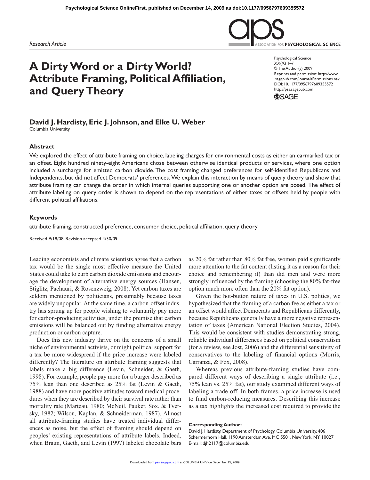*Research Article*

# FOR PSYCHOLOGICAL SCIENCE

### **A Dirty Word or a Dirty World? Attribute Framing, Political Affiliation, and Query Theory**

Psychological Science  $XX(X)$  1–7 © The Author(s) 2009 Reprints and permission: http://www .sagepub.com/journalsPermissions.nav DOI: 10.1177/0956797609355572 http://pss.sagepub.com



#### **David J. Hardisty, Eric J. Johnson, and Elke U. Weber**

Columbia University

#### **Abstract**

We explored the effect of attribute framing on choice, labeling charges for environmental costs as either an earmarked tax or an offset. Eight hundred ninety-eight Americans chose between otherwise identical products or services, where one option included a surcharge for emitted carbon dioxide. The cost framing changed preferences for self-identified Republicans and Independents, but did not affect Democrats' preferences. We explain this interaction by means of query theory and show that attribute framing can change the order in which internal queries supporting one or another option are posed. The effect of attribute labeling on query order is shown to depend on the representations of either taxes or offsets held by people with different political affiliations.

#### **Keywords**

attribute framing, constructed preference, consumer choice, political affiliation, query theory

Received 9/18/08; Revision accepted 4/30/09

Leading economists and climate scientists agree that a carbon tax would be the single most effective measure the United States could take to curb carbon dioxide emissions and encourage the development of alternative energy sources (Hansen, Stiglitz, Pachauri, & Rosenzweig, 2008). Yet carbon taxes are seldom mentioned by politicians, presumably because taxes are widely unpopular. At the same time, a carbon-offset industry has sprung up for people wishing to voluntarily pay more for carbon-producing activities, under the premise that carbon emissions will be balanced out by funding alternative energy production or carbon capture.

Does this new industry thrive on the concerns of a small niche of environmental activists, or might political support for a tax be more widespread if the price increase were labeled differently? The literature on attribute framing suggests that labels make a big difference (Levin, Schneider, & Gaeth, 1998). For example, people pay more for a burger described as 75% lean than one described as 25% fat (Levin & Gaeth, 1988) and have more positive attitudes toward medical procedures when they are described by their survival rate rather than mortality rate (Marteau, 1980; McNeil, Pauker, Sox, & Tversky, 1982; Wilson, Kaplan, & Schneiderman, 1987). Almost all attribute-framing studies have treated individual differences as noise, but the effect of framing should depend on peoples' existing representations of attribute labels. Indeed, when Braun, Gaeth, and Levin (1997) labeled chocolate bars

as 20% fat rather than 80% fat free, women paid significantly more attention to the fat content (listing it as a reason for their choice and remembering it) than did men and were more strongly influenced by the framing (choosing the 80% fat-free option much more often than the 20% fat option).

Given the hot-button nature of taxes in U.S. politics, we hypothesized that the framing of a carbon fee as either a tax or an offset would affect Democrats and Republicans differently, because Republicans generally have a more negative representation of taxes (American National Election Studies, 2004). This would be consistent with studies demonstrating strong, reliable individual differences based on political conservatism (for a review, see Jost, 2006) and the differential sensitivity of conservatives to the labeling of financial options (Morris, Carranza, & Fox, 2008).

Whereas previous attribute-framing studies have compared different ways of describing a single attribute (i.e., 75% lean vs. 25% fat), our study examined different ways of labeling a trade-off. In both frames, a price increase is used to fund carbon-reducing measures. Describing this increase as a tax highlights the increased cost required to provide the

**Corresponding Author:**

David J. Hardisty, Department of Psychology, Columbia University, 406 Schermerhorn Hall, 1190 Amsterdam Ave. MC 5501, New York, NY 10027 E-mail: djh2117@columbia.edu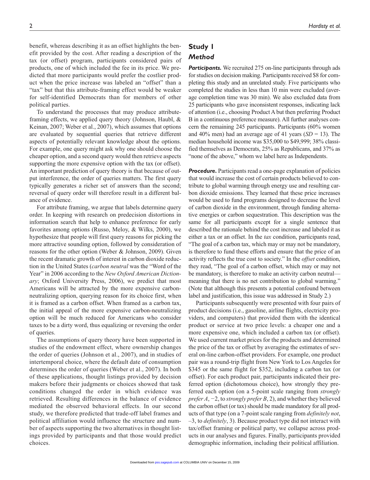benefit, whereas describing it as an offset highlights the benefit provided by the cost. After reading a description of the tax (or offset) program, participants considered pairs of products, one of which included the fee in its price. We predicted that more participants would prefer the costlier product when the price increase was labeled an "offset" than a "tax" but that this attribute-framing effect would be weaker for self-identified Democrats than for members of other political parties.

To understand the processes that may produce attributeframing effects, we applied query theory (Johnson, Haubl, & Keinan, 2007; Weber et al., 2007), which assumes that options are evaluated by sequential queries that retrieve different aspects of potentially relevant knowledge about the options. For example, one query might ask why one should choose the cheaper option, and a second query would then retrieve aspects supporting the more expensive option with the tax (or offset). An important prediction of query theory is that because of output interference, the order of queries matters. The first query typically generates a richer set of answers than the second; reversal of query order will therefore result in a different balance of evidence.

For attribute framing, we argue that labels determine query order. In keeping with research on predecision distortions in information search that help to enhance preference for early favorites among options (Russo, Meloy, & Wilks, 2000), we hypothesize that people will first query reasons for picking the more attractive sounding option, followed by consideration of reasons for the other option (Weber & Johnson, 2009). Given the recent dramatic growth of interest in carbon dioxide reduction in the United States (*carbon neutral* was the "Word of the Year" in 2006 according to the *New Oxford American Dictionary*; Oxford University Press, 2006), we predict that most Americans will be attracted by the more expensive carbonneutralizing option, querying reason for its choice first, when it is framed as a carbon offset. When framed as a carbon tax, the initial appeal of the more expensive carbon-neutralizing option will be much reduced for Americans who consider taxes to be a dirty word, thus equalizing or reversing the order of queries.

The assumptions of query theory have been supported in studies of the endowment effect, where ownership changes the order of queries (Johnson et al., 2007), and in studies of intertemporal choice, where the default date of consumption determines the order of queries (Weber et al., 2007). In both of these applications, thought listings provided by decision makers before their judgments or choices showed that task conditions changed the order in which evidence was retrieved. Resulting differences in the balance of evidence mediated the observed behavioral effects. In our second study, we therefore predicted that trade-off label frames and political affiliation would influence the structure and number of aspects supporting the two alternatives in thought listings provided by participants and that those would predict choices.

#### **Study 1** *Method*

**Participants.** We recruited 275 on-line participants through ads for studies on decision making. Participants received \$8 for completing this study and an unrelated study. Five participants who completed the studies in less than 10 min were excluded (average completion time was 30 min). We also excluded data from 25 participants who gave inconsistent responses, indicating lack of attention (i.e., choosing Product A but then preferring Product B in a continuous preference measure). All further analyses concern the remaining 245 participants. Participants (60% women and 40% men) had an average age of 41 years (*SD* = 13). The median household income was \$35,000 to \$49,999; 38% classified themselves as Democrats, 25% as Republicans, and 37% as "none of the above," whom we label here as Independents.

**Procedure.** Participants read a one-page explanation of policies that would increase the cost of certain products believed to contribute to global warming through energy use and resulting carbon dioxide emissions. They learned that these price increases would be used to fund programs designed to decrease the level of carbon dioxide in the environment, through funding alternative energies or carbon sequestration. This description was the same for all participants except for a single sentence that described the rationale behind the cost increase and labeled it as either a tax or an offset. In the *tax* condition, participants read, "The goal of a carbon tax, which may or may not be mandatory, is therefore to fund these efforts and ensure that the price of an activity reflects the true cost to society." In the *offset* condition, they read, "The goal of a carbon offset, which may or may not be mandatory, is therefore to make an activity carbon neutralmeaning that there is no net contribution to global warming." (Note that although this presents a potential confound between label and justification, this issue was addressed in Study 2.)

Participants subsequently were presented with four pairs of product decisions (i.e., gasoline, airline flights, electricity providers, and computers) that provided them with the identical product or service at two price levels: a cheaper one and a more expensive one, which included a carbon tax (or offset). We used current market prices for the products and determined the price of the tax or offset by averaging the estimates of several on-line carbon-offset providers. For example, one product pair was a round-trip flight from New York to Los Angeles for \$345 or the same flight for \$352, including a carbon tax (or offset). For each product pair, participants indicated their preferred option (dichotomous choice), how strongly they preferred each option (on a 5-point scale ranging from *strongly prefer A*, *−*2, to *strongly prefer B*, 2), and whether they believed the carbon offset (or tax) should be made mandatory for all products of that type (on a 7-point scale ranging from *definitely not*, –3, to *definitely*, 3). Because product type did not interact with tax/offset framing or political party, we collapse across products in our analyses and figures. Finally, participants provided demographic information, including their political affiliation.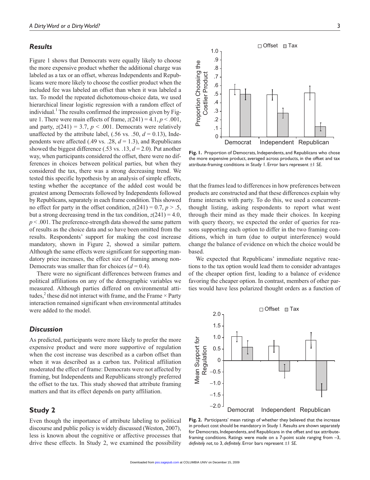#### *Results*

Figure 1 shows that Democrats were equally likely to choose the more expensive product whether the additional charge was labeled as a tax or an offset, whereas Independents and Republicans were more likely to choose the costlier product when the included fee was labeled an offset than when it was labeled a tax. To model the repeated dichotomous-choice data, we used hierarchical linear logistic regression with a random effect of individual.<sup>1</sup> The results confirmed the impression given by Figure 1. There were main effects of frame,  $z(241) = 4.1, p < .001$ , and party,  $z(241) = 3.7$ ,  $p < .001$ . Democrats were relatively unaffected by the attribute label,  $(.56 \text{ vs. } .50, d = 0.13)$ , Independents were affected (.49 vs. .28,  $d = 1.3$ ), and Republicans showed the biggest difference (.53 vs. .13,  $d = 2.0$ ). Put another way, when participants considered the offset, there were no differences in choices between political parties, but when they considered the tax, there was a strong decreasing trend. We tested this specific hypothesis by an analysis of simple effects, testing whether the acceptance of the added cost would be greatest among Democrats followed by Independents followed by Republicans, separately in each frame condition. This showed no effect for party in the offset condition,  $z(241) = 0.7$ ,  $p > .5$ , but a strong decreasing trend in the tax condition,  $z(241) = 4.0$ ,  $p < .001$ . The preference-strength data showed the same pattern of results as the choice data and so have been omitted from the results. Respondents' support for making the cost increase mandatory, shown in Figure 2, showed a similar pattern. Although the same effects were significant for supporting mandatory price increases, the effect size of framing among non-Democrats was smaller than for choices  $(d = 0.4)$ .

There were no significant differences between frames and political affiliations on any of the demographic variables we measured. Although parties differed on environmental attitudes,<sup>2</sup> these did not interact with frame, and the Frame  $\times$  Party interaction remained significant when environmental attitudes were added to the model.

#### *Discussion*

As predicted, participants were more likely to prefer the more expensive product and were more supportive of regulation when the cost increase was described as a carbon offset than when it was described as a carbon tax. Political affiliation moderated the effect of frame: Democrats were not affected by framing, but Independents and Republicans strongly preferred the offset to the tax. This study showed that attribute framing matters and that its effect depends on party affiliation.

#### **Study 2**

Even though the importance of attribute labeling to political discourse and public policy is widely discussed (Weston, 2007), less is known about the cognitive or affective processes that drive these effects. In Study 2, we examined the possibility

□ Offset □ Tax 1.0 .9 e Proportion Choosing th .8 Costlier Product Costlier Product .7 .6 .5 .4 .3 .2 .1 0 Democrat Independent Republican

**Fig. 1.** Proportion of Democrats, Independents, and Republicans who chose the more expensive product, averaged across products, in the offset and tax attribute-framing conditions in Study 1. Error bars represent ±1 *SE*.

that the frames lead to differences in how preferences between products are constructed and that these differences explain why frame interacts with party. To do this, we used a concurrentthought listing, asking respondents to report what went through their mind as they made their choices. In keeping with query theory, we expected the order of queries for reasons supporting each option to differ in the two framing conditions, which in turn (due to output interference) would change the balance of evidence on which the choice would be based.

We expected that Republicans' immediate negative reactions to the tax option would lead them to consider advantages of the cheaper option first, leading to a balance of evidence favoring the cheaper option. In contrast, members of other parties would have less polarized thought orders as a function of

**Fig. 2.** Participants' mean ratings of whether they believed that the increase in product cost should be mandatory in Study 1. Results are shown separately for Democrats, Independents, and Republicans in the offset and tax attributeframing conditions. Ratings were made on a 7-point scale ranging from –3, *definitely not*, to 3, *definitely*. Error bars represent ±1 *SE*.

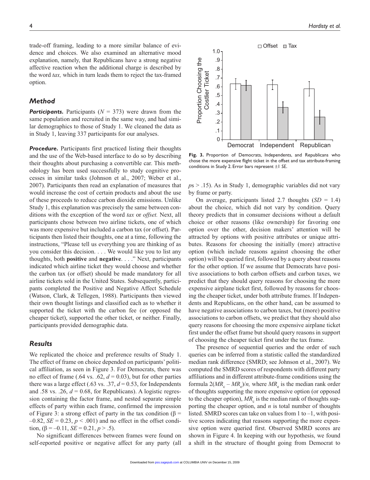trade-off framing, leading to a more similar balance of evidence and choices. We also examined an alternative mood explanation, namely, that Republicans have a strong negative affective reaction when the additional charge is described by the word *tax,* which in turn leads them to reject the tax-framed option.

#### *Method*

**Participants.** Participants  $(N = 373)$  were drawn from the same population and recruited in the same way, and had similar demographics to those of Study 1. We cleaned the data as in Study 1, leaving 337 participants for our analyses.

*Procedure.* Participants first practiced listing their thoughts and the use of the Web-based interface to do so by describing their thoughts about purchasing a convertible car. This methodology has been used successfully to study cognitive processes in similar tasks (Johnson et al., 2007; Weber et al., 2007). Participants then read an explanation of measures that would increase the cost of certain products and about the use of these proceeds to reduce carbon dioxide emissions. Unlike Study 1, this explanation was precisely the same between conditions with the exception of the word *tax* or *offset.* Next, all participants chose between two airline tickets, one of which was more expensive but included a carbon tax (or offset). Participants then listed their thoughts, one at a time, following the instructions, "Please tell us everything you are thinking of as you consider this decision. . . . We would like you to list any thoughts, both **positive** and **negative**. . . ." Next, participants indicated which airline ticket they would choose and whether the carbon tax (or offset) should be made mandatory for all airline tickets sold in the United States. Subsequently, participants completed the Positive and Negative Affect Schedule (Watson, Clark, & Tellegen, 1988). Participants then viewed their own thought listings and classified each as to whether it supported the ticket with the carbon fee (or opposed the cheaper ticket), supported the other ticket, or neither. Finally, participants provided demographic data.

#### *Results*

We replicated the choice and preference results of Study 1. The effect of frame on choice depended on participants' political affiliation, as seen in Figure 3. For Democrats, there was no effect of frame (.64 vs. .62,  $d = 0.03$ ), but for other parties there was a large effect (.63 vs. .37,  $d = 0.53$ , for Independents and .58 vs. .26,  $d = 0.68$ , for Republicans). A logistic regression containing the factor frame, and nested separate simple effects of party within each frame, confirmed the impression of Figure 3: a strong effect of party in the tax condition ( $\beta$  =  $-0.82$ , *SE* = 0.23, *p* < .001) and no effect in the offset condition,  $(\beta = -0.11, SE = 0.21, p > .5)$ .

No significant differences between frames were found on self-reported positive or negative affect for any party (all

chose the more expensive flight ticket in the offset and tax attribute-framing conditions in Study 2. Error bars represent ±1 *SE*.

*p*s > .15). As in Study 1, demographic variables did not vary by frame or party.

On average, participants listed 2.7 thoughts (*SD* = 1.4) about the choice, which did not vary by condition. Query theory predicts that in consumer decisions without a default choice or other reasons (like ownership) for favoring one option over the other, decision makers' attention will be attracted by options with positive attributes or unique attributes. Reasons for choosing the initially (more) attractive option (which include reasons against choosing the other option) will be queried first, followed by a query about reasons for the other option. If we assume that Democrats have positive associations to both carbon offsets and carbon taxes, we predict that they should query reasons for choosing the more expensive airplane ticket first, followed by reasons for choosing the cheaper ticket, under both attribute frames. If Independents and Republicans, on the other hand, can be assumed to have negative associations to carbon taxes, but (more) positive associations to carbon offsets, we predict that they should also query reasons for choosing the more expensive airplane ticket first under the offset frame but should query reasons in support of choosing the cheaper ticket first under the tax frame.

The presence of sequential queries and the order of such queries can be inferred from a statistic called the standardized median rank difference (SMRD; see Johnson et al., 2007). We computed the SMRD scores of respondents with different party affiliations and in different attribute-frame conditions using the formula  $2(MR_c - MR_e)/n$ , where  $MR_e$  is the median rank order of thoughts supporting the more expensive option (or opposed to the cheaper option),  $MR_c$  is the median rank of thoughts supporting the cheaper option, and *n* is total number of thoughts listed. SMRD scores can take on values from 1 to  $-1$ , with positive scores indicating that reasons supporting the more expensive option were queried first. Observed SMRD scores are shown in Figure 4. In keeping with our hypothesis, we found a shift in the structure of thought going from Democrat to



 $\Box$  Offset  $\Box$  Tax

.6 .7 .8 .9 1.0

e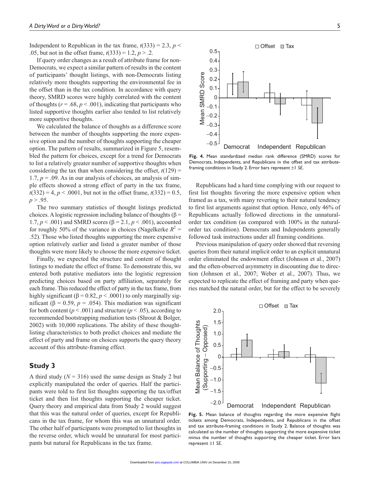Independent to Republican in the tax frame,  $t(333) = 2.3$ ,  $p <$ .05, but not in the offset frame, *t*(333) = 1.2, *p* > .2.

If query order changes as a result of attribute frame for non-Democrats, we expect a similar pattern of results in the content of participants' thought listings, with non-Democrats listing relatively more thoughts supporting the environmental fee in the offset than in the tax condition. In accordance with query theory, SMRD scores were highly correlated with the content of thoughts ( $r = .68$ ,  $p < .001$ ), indicating that participants who listed supportive thoughts earlier also tended to list relatively more supportive thoughts.

We calculated the balance of thoughts as a difference score between the number of thoughts supporting the more expensive option and the number of thoughts supporting the cheaper option. The pattern of results, summarized in Figure 5, resembled the pattern for choices, except for a trend for Democrats to list a relatively greater number of supportive thoughts when considering the tax than when considering the offset,  $t(129)$  = 1.7,  $p = 0.09$ . As in our analysis of choices, an analysis of simple effects showed a strong effect of party in the tax frame,  $t(332) = 4$ ,  $p < .0001$ , but not in the offset frame,  $t(332) = 0.5$ ,  $p > .95$ .

The two summary statistics of thought listings predicted choices. A logistic regression including balance of thoughts ( $\beta$  = 1.7, *p* < .001) and SMRD scores (β = 2.1, *p* < .001), accounted for roughly 50% of the variance in choices (Nagelkerke  $R^2$  = .52). Those who listed thoughts supporting the more expensive option relatively earlier and listed a greater number of those thoughts were more likely to choose the more expensive ticket.

Finally, we expected the structure and content of thought listings to mediate the effect of frame. To demonstrate this, we entered both putative mediators into the logistic regression predicting choices based on party affiliation, separately for each frame. This reduced the effect of party in the tax frame, from highly significant ( $\beta$  = 0.82,  $p$  < .0001) to only marginally significant (β = 0.59,  $p = .054$ ). This mediation was significant for both content ( $p < .001$ ) and structure ( $p < .05$ ), according to recommended bootstrapping mediation tests (Shrout & Bolger, 2002) with 10,000 replications. The ability of these thoughtlisting characteristics to both predict choices and mediate the effect of party and frame on choices supports the query theory account of this attribute-framing effect.

#### **Study 3**

A third study  $(N = 316)$  used the same design as Study 2 but explicitly manipulated the order of queries. Half the participants were told to first list thoughts supporting the tax/offset ticket and then list thoughts supporting the cheaper ticket. Query theory and empirical data from Study 2 would suggest that this was the natural order of queries, except for Republicans in the tax frame, for whom this was an unnatural order. The other half of participants were prompted to list thoughts in the reverse order, which would be unnatural for most participants but natural for Republicans in the tax frame.



**Fig. 4.** Mean standardized median rank difference (SMRD) scores for Democrats, Independents, and Republicans in the offset and tax attributeframing conditions in Study 2. Error bars represent ±1 *SE*.

Republicans had a hard time complying with our request to first list thoughts favoring the more expensive option when framed as a tax, with many reverting to their natural tendency to first list arguments against that option. Hence, only 46% of Republicans actually followed directions in the unnaturalorder tax condition (as compared with 100% in the naturalorder tax condition). Democrats and Independents generally followed task instructions under all framing conditions.

Previous manipulation of query order showed that reversing queries from their natural implicit order to an explicit unnatural order eliminated the endowment effect (Johnson et al., 2007) and the often-observed asymmetry in discounting due to direction (Johnson et al., 2007; Weber et al., 2007). Thus, we expected to replicate the effect of framing and party when queries matched the natural order, but for the effect to be severely



**Fig. 5.** Mean balance of thoughts regarding the more expensive flight tickets among Democrats, Independents, and Republicans in the offset and tax attribute-framing conditions in Study 2. Balance of thoughts was calculated as the number of thoughts supporting the more expensive ticket minus the number of thoughts supporting the cheaper ticket. Error bars represent ±1 *SE*.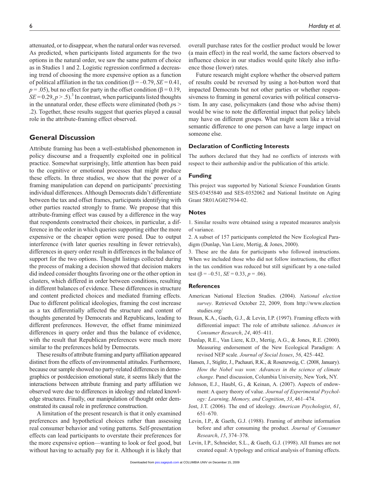attenuated, or to disappear, when the natural order was reversed. As predicted, when participants listed arguments for the two options in the natural order, we saw the same pattern of choice as in Studies 1 and 2. Logistic regression confirmed a decreasing trend of choosing the more expensive option as a function of political affiliation in the tax condition (β = –0.79, *SE* = 0.41,  $p = .05$ ), but no effect for party in the offset condition ( $\beta = 0.19$ ,  $SE = 0.29, p > .5$ ).<sup>3</sup> In contrast, when participants listed thoughts in the unnatural order, these effects were eliminated (both *p*s > .2). Together, these results suggest that queries played a causal role in the attribute-framing effect observed.

#### **General Discussion**

Attribute framing has been a well-established phenomenon in policy discourse and a frequently exploited one in political practice. Somewhat surprisingly, little attention has been paid to the cognitive or emotional processes that might produce these effects. In three studies, we show that the power of a framing manipulation can depend on participants' preexisting individual differences. Although Democrats didn't differentiate between the tax and offset frames, participants identifying with other parties reacted strongly to frame. We propose that this attribute-framing effect was caused by a difference in the way that respondents constructed their choices, in particular, a difference in the order in which queries supporting either the more expensive or the cheaper option were posed. Due to output interference (with later queries resulting in fewer retrievals), differences in query order result in differences in the balance of support for the two options. Thought listings collected during the process of making a decision showed that decision makers did indeed consider thoughts favoring one or the other option in clusters, which differed in order between conditions, resulting in different balances of evidence. These differences in structure and content predicted choices and mediated framing effects. Due to different political ideologies, framing the cost increase as a tax differentially affected the structure and content of thoughts generated by Democrats and Republicans, leading to different preferences. However, the offset frame minimized differences in query order and thus the balance of evidence, with the result that Republican preferences were much more similar to the preferences held by Democrats.

These results of attribute framing and party affiliation appeared distinct from the effects of environmental attitudes. Furthermore, because our sample showed no party-related differences in demographics or postdecision emotional state, it seems likely that the interactions between attribute framing and party affiliation we observed were due to differences in ideology and related knowledge structures. Finally, our manipulation of thought order demonstrated its causal role in preference construction.

A limitation of the present research is that it only examined preferences and hypothetical choices rather than assessing real consumer behavior and voting patterns. Self-presentation effects can lead participants to overstate their preferences for the more expensive option—wanting to look or feel good, but without having to actually pay for it. Although it is likely that

overall purchase rates for the costlier product would be lower (a main effect) in the real world, the same factors observed to influence choice in our studies would quite likely also influence those (lower) rates.

Future research might explore whether the observed pattern of results could be reversed by using a hot-button word that impacted Democrats but not other parties or whether responsiveness to framing in general covaries with political conservatism. In any case, policymakers (and those who advise them) would be wise to note the differential impact that policy labels may have on different groups. What might seem like a trivial semantic difference to one person can have a large impact on someone else.

#### **Declaration of Conflicting Interests**

The authors declared that they had no conflicts of interests with respect to their authorship and/or the publication of this article.

#### **Funding**

This project was supported by National Science Foundation Grants SES-03455840 and SES-0352062 and National Institute on Aging Grant 5R01AG027934-02.

#### **Notes**

1. Similar results were obtained using a repeated measures analysis of variance.

2. A subset of 157 participants completed the New Ecological Paradigm (Dunlap, Van Liere, Mertig, & Jones, 2000).

3. These are the data for participants who followed instructions. When we included those who did not follow instructions, the effect in the tax condition was reduced but still significant by a one-tailed test  $(\beta = -0.51, SE = 0.33, p = .06)$ .

#### **References**

- American National Election Studies. (2004). *National election survey*. Retrieved October 22, 2009, from http://www.election studies.org/
- Braun, K.A., Gaeth, G.J., & Levin, I.P. (1997). Framing effects with differential impact: The role of attribute salience. *Advances in Consumer Research*, *24*, 405–411.
- Dunlap, R.E., Van Liere, K.D., Mertig, A.G., & Jones, R.E. (2000). Measuring endorsement of the New Ecological Paradigm: A revised NEP scale. *Journal of Social Issues*, *56*, 425–442.
- Hansen, J., Stiglitz, J., Pachauri, R.K., & Rosenzweig, C. (2008, January). *How the Nobel was won: Advances in the science of climate change*. Panel discussion, Columbia University, New York, NY.
- Johnson, E.J., Haubl, G., & Keinan, A. (2007). Aspects of endowment: A query theory of value. *Journal of Experimental Psychology: Learning, Memory, and Cognition*, *33*, 461–474.
- Jost, J.T. (2006). The end of ideology. *American Psychologist*, *61*, 651–670.
- Levin, I.P., & Gaeth, G.J. (1988). Framing of attribute information before and after consuming the product. *Journal of Consumer Research*, *15*, 374–378.
- Levin, I.P., Schneider, S.L., & Gaeth, G.J. (1998). All frames are not created equal: A typology and critical analysis of framing effects.